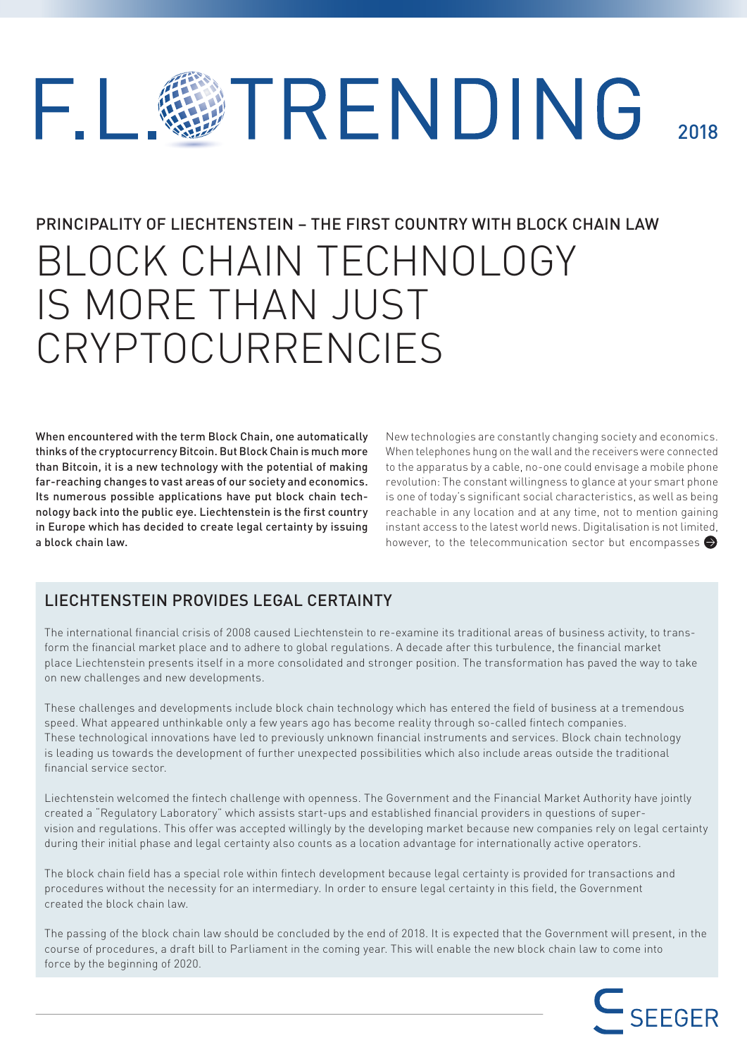## TRENDING F.L 2018

# PRINCIPALITY OF LIECHTENSTEIN – THE FIRST COUNTRY WITH BLOCK CHAIN LAW BLOCK CHAIN TECHNOLOGY IS MORE THAN JUST CRYPTOCURRENCIES

When encountered with the term Block Chain, one automatically thinks of the cryptocurrency Bitcoin. But Block Chain is much more than Bitcoin, it is a new technology with the potential of making far-reaching changes to vast areas of our society and economics. Its numerous possible applications have put block chain technology back into the public eye. Liechtenstein is the first country in Europe which has decided to create legal certainty by issuing a block chain law.

New technologies are constantly changing society and economics. When telephones hung on the wall and the receivers were connected to the apparatus by a cable, no-one could envisage a mobile phone revolution: The constant willingness to glance at your smart phone is one of today's significant social characteristics, as well as being reachable in any location and at any time, not to mention gaining instant access to the latest world news. Digitalisation is not limited, however, to the telecommunication sector but encompasses

## LIECHTENSTEIN PROVIDES LEGAL CERTAINTY

The international financial crisis of 2008 caused Liechtenstein to re-examine its traditional areas of business activity, to transform the financial market place and to adhere to global regulations. A decade after this turbulence, the financial market place Liechtenstein presents itself in a more consolidated and stronger position. The transformation has paved the way to take on new challenges and new developments.

These challenges and developments include block chain technology which has entered the field of business at a tremendous speed. What appeared unthinkable only a few years ago has become reality through so-called fintech companies. These technological innovations have led to previously unknown financial instruments and services. Block chain technology is leading us towards the development of further unexpected possibilities which also include areas outside the traditional financial service sector.

Liechtenstein welcomed the fintech challenge with openness. The Government and the Financial Market Authority have jointly created a "Regulatory Laboratory" which assists start-ups and established financial providers in questions of supervision and regulations. This offer was accepted willingly by the developing market because new companies rely on legal certainty during their initial phase and legal certainty also counts as a location advantage for internationally active operators.

The block chain field has a special role within fintech development because legal certainty is provided for transactions and procedures without the necessity for an intermediary. In order to ensure legal certainty in this field, the Government created the block chain law.

The passing of the block chain law should be concluded by the end of 2018. It is expected that the Government will present, in the course of procedures, a draft bill to Parliament in the coming year. This will enable the new block chain law to come into force by the beginning of 2020.

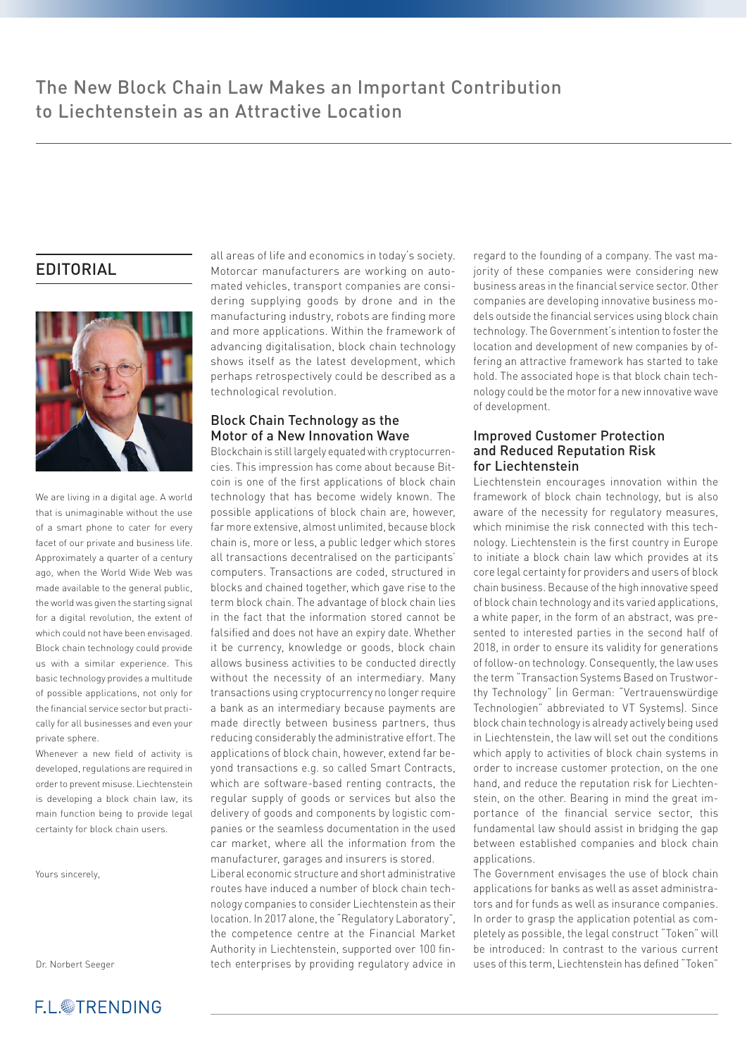## EDITORIAL



We are living in a digital age. A world that is unimaginable without the use of a smart phone to cater for every facet of our private and business life. Approximately a quarter of a century ago, when the World Wide Web was made available to the general public, the world was given the starting signal for a digital revolution, the extent of which could not have been envisaged. Block chain technology could provide us with a similar experience. This basic technology provides a multitude of possible applications, not only for the financial service sector but practically for all businesses and even your private sphere.

Whenever a new field of activity is developed, regulations are required in order to prevent misuse. Liechtenstein is developing a block chain law, its main function being to provide legal certainty for block chain users.

Yours sincerely,

Dr. Norbert Seeger

all areas of life and economics in today's society. Motorcar manufacturers are working on automated vehicles, transport companies are considering supplying goods by drone and in the manufacturing industry, robots are finding more and more applications. Within the framework of advancing digitalisation, block chain technology shows itself as the latest development, which perhaps retrospectively could be described as a technological revolution.

#### Block Chain Technology as the Motor of a New Innovation Wave

Blockchain is still largely equated with cryptocurrencies. This impression has come about because Bitcoin is one of the first applications of block chain technology that has become widely known. The possible applications of block chain are, however, far more extensive, almost unlimited, because block chain is, more or less, a public ledger which stores all transactions decentralised on the participants' computers. Transactions are coded, structured in blocks and chained together, which gave rise to the term block chain. The advantage of block chain lies in the fact that the information stored cannot be falsified and does not have an expiry date. Whether it be currency, knowledge or goods, block chain allows business activities to be conducted directly without the necessity of an intermediary. Many transactions using cryptocurrency no longer require a bank as an intermediary because payments are made directly between business partners, thus reducing considerably the administrative effort. The applications of block chain, however, extend far beyond transactions e.g. so called Smart Contracts, which are software-based renting contracts, the regular supply of goods or services but also the delivery of goods and components by logistic companies or the seamless documentation in the used car market, where all the information from the manufacturer, garages and insurers is stored.

Liberal economic structure and short administrative routes have induced a number of block chain technology companies to consider Liechtenstein as their location. In 2017 alone, the "Regulatory Laboratory", the competence centre at the Financial Market Authority in Liechtenstein, supported over 100 fintech enterprises by providing regulatory advice in regard to the founding of a company. The vast majority of these companies were considering new business areas in the financial service sector. Other companies are developing innovative business models outside the financial services using block chain technology. The Government's intention to foster the location and development of new companies by offering an attractive framework has started to take hold. The associated hope is that block chain technology could be the motor for a new innovative wave of development.

#### Improved Customer Protection and Reduced Reputation Risk for Liechtenstein

Liechtenstein encourages innovation within the framework of block chain technology, but is also aware of the necessity for regulatory measures, which minimise the risk connected with this technology. Liechtenstein is the first country in Europe to initiate a block chain law which provides at its core legal certainty for providers and users of block chain business. Because of the high innovative speed of block chain technology and its varied applications, a white paper, in the form of an abstract, was presented to interested parties in the second half of 2018, in order to ensure its validity for generations of follow-on technology. Consequently, the law uses the term "Transaction Systems Based on Trustworthy Technology" (in German: "Vertrauenswürdige Technologien" abbreviated to VT Systems). Since block chain technology is already actively being used in Liechtenstein, the law will set out the conditions which apply to activities of block chain systems in order to increase customer protection, on the one hand, and reduce the reputation risk for Liechtenstein, on the other. Bearing in mind the great importance of the financial service sector, this fundamental law should assist in bridging the gap between established companies and block chain applications.

The Government envisages the use of block chain applications for banks as well as asset administrators and for funds as well as insurance companies. In order to grasp the application potential as completely as possible, the legal construct "Token" will be introduced: In contrast to the various current uses of this term, Liechtenstein has defined "Token"

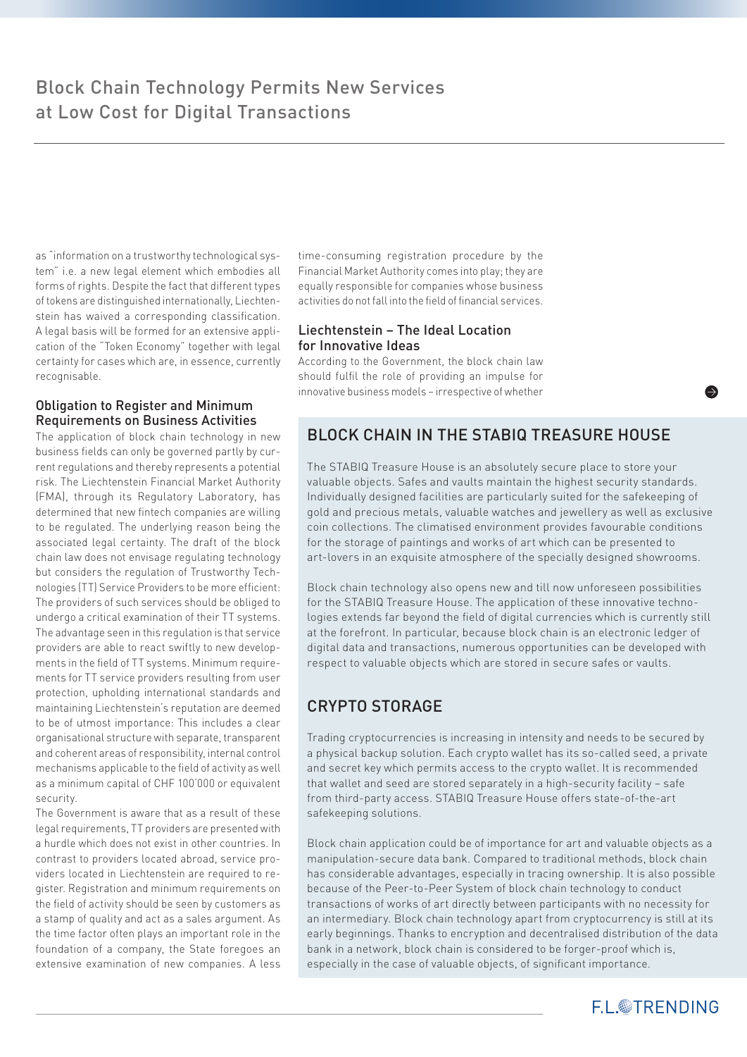as "information on a trustworthy technological system" i.e. a new legal element which embodies all forms of rights. Despite the fact that different types of tokens are distinguished internationally, Liechtenstein has waived a corresponding classification. A legal basis will be formed for an extensive application of the "Token Economy" together with legal certainty for cases which are, in essence, currently recognisable.

#### Obligation to Register and Minimum Requirements on Business Activities

The application of block chain technology in new business fields can only be governed partly by current regulations and thereby represents a potential risk. The Liechtenstein Financial Market Authority (FMA), through its Regulatory Laboratory, has determined that new fintech companies are willing to be regulated. The underlying reason being the associated legal certainty. The draft of the block chain law does not envisage regulating technology but considers the regulation of Trustworthy Technologies (TT) Service Providers to be more efficient: The providers of such services should be obliged to undergo a critical examination of their TT systems. The advantage seen in this regulation is that service providers are able to react swiftly to new developments in the field of TT systems. Minimum requirements for TT service providers resulting from user protection, upholding international standards and maintaining Liechtenstein's reputation are deemed to be of utmost importance: This includes a clear organisational structure with separate, transparent and coherent areas of responsibility, internal control mechanisms applicable to the field of activity as well as a minimum capital of CHF 100'000 or equivalent security.

The Government is aware that as a result of these legal requirements, TT providers are presented with a hurdle which does not exist in other countries. In contrast to providers located abroad, service providers located in Liechtenstein are required to register. Registration and minimum requirements on the field of activity should be seen by customers as a stamp of quality and act as a sales argument. As the time factor often plays an important role in the foundation of a company, the State foregoes an extensive examination of new companies. A less time-consuming registration procedure by the Financial Market Authority comes into play; they are equally responsible for companies whose business activities do not fall into the field of financial services.

#### Liechtenstein – The Ideal Location for Innovative Ideas

According to the Government, the block chain law should fulfil the role of providing an impulse for innovative business models – irrespective of whether

## BLOCK CHAIN IN THE STABIQ TREASURE HOUSE

The STABIQ Treasure House is an absolutely secure place to store your valuable objects. Safes and vaults maintain the highest security standards. Individually designed facilities are particularly suited for the safekeeping of gold and precious metals, valuable watches and jewellery as well as exclusive coin collections. The climatised environment provides favourable conditions for the storage of paintings and works of art which can be presented to art-lovers in an exquisite atmosphere of the specially designed showrooms.

Block chain technology also opens new and till now unforeseen possibilities for the STABIQ Treasure House. The application of these innovative technologies extends far beyond the field of digital currencies which is currently still at the forefront. In particular, because block chain is an electronic ledger of digital data and transactions, numerous opportunities can be developed with respect to valuable objects which are stored in secure safes or vaults.

## CRYPTO STORAGE

Trading cryptocurrencies is increasing in intensity and needs to be secured by a physical backup solution. Each crypto wallet has its so-called seed, a private and secret key which permits access to the crypto wallet. It is recommended that wallet and seed are stored separately in a high-security facility – safe from third-party access. STABIQ Treasure House offers state-of-the-art safekeeping solutions.

Block chain application could be of importance for art and valuable objects as a manipulation-secure data bank. Compared to traditional methods, block chain has considerable advantages, especially in tracing ownership. It is also possible because of the Peer-to-Peer System of block chain technology to conduct transactions of works of art directly between participants with no necessity for an intermediary. Block chain technology apart from cryptocurrency is still at its early beginnings. Thanks to encryption and decentralised distribution of the data bank in a network, block chain is considered to be forger-proof which is, especially in the case of valuable objects, of significant importance.